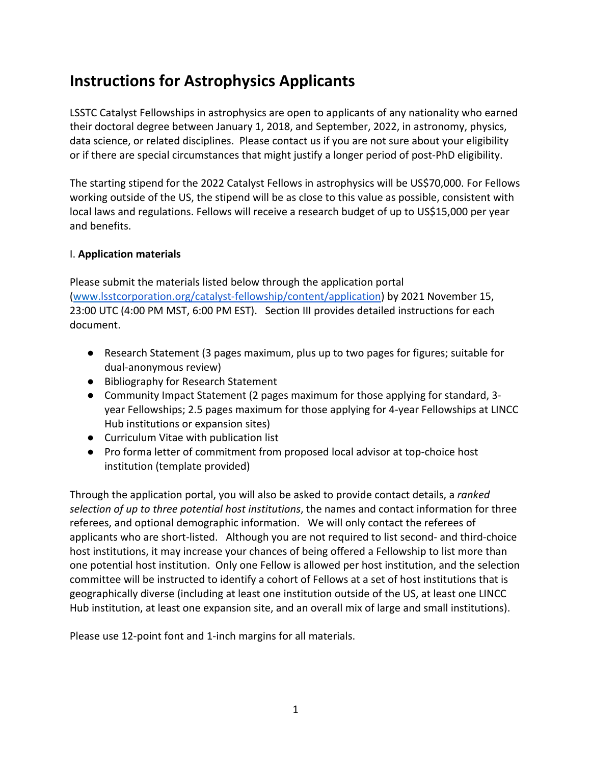# **Instructions for Astrophysics Applicants**

LSSTC Catalyst Fellowships in astrophysics are open to applicants of any nationality who earned their doctoral degree between January 1, 2018, and September, 2022, in astronomy, physics, data science, or related disciplines. Please contact us if you are not sure about your eligibility or if there are special circumstances that might justify a longer period of post-PhD eligibility.

The starting stipend for the 2022 Catalyst Fellows in astrophysics will be US\$70,000. For Fellows working outside of the US, the stipend will be as close to this value as possible, consistent with local laws and regulations. Fellows will receive a research budget of up to US\$15,000 per year and benefits.

## I. **Application materials**

Please submit the materials listed below through the application portal (www.lsstcorporation.org/catalyst-fellowship/content/application) by 2021 November 15, 23:00 UTC (4:00 PM MST, 6:00 PM EST). Section III provides detailed instructions for each document.

- Research Statement (3 pages maximum, plus up to two pages for figures; suitable for dual-anonymous review)
- Bibliography for Research Statement
- Community Impact Statement (2 pages maximum for those applying for standard, 3 year Fellowships; 2.5 pages maximum for those applying for 4-year Fellowships at LINCC Hub institutions or expansion sites)
- Curriculum Vitae with publication list
- Pro forma letter of commitment from proposed local advisor at top-choice host institution (template provided)

Through the application portal, you will also be asked to provide contact details, a *ranked selection of up to three potential host institutions*, the names and contact information for three referees, and optional demographic information. We will only contact the referees of applicants who are short-listed. Although you are not required to list second- and third-choice host institutions, it may increase your chances of being offered a Fellowship to list more than one potential host institution. Only one Fellow is allowed per host institution, and the selection committee will be instructed to identify a cohort of Fellows at a set of host institutions that is geographically diverse (including at least one institution outside of the US, at least one LINCC Hub institution, at least one expansion site, and an overall mix of large and small institutions).

Please use 12-point font and 1-inch margins for all materials.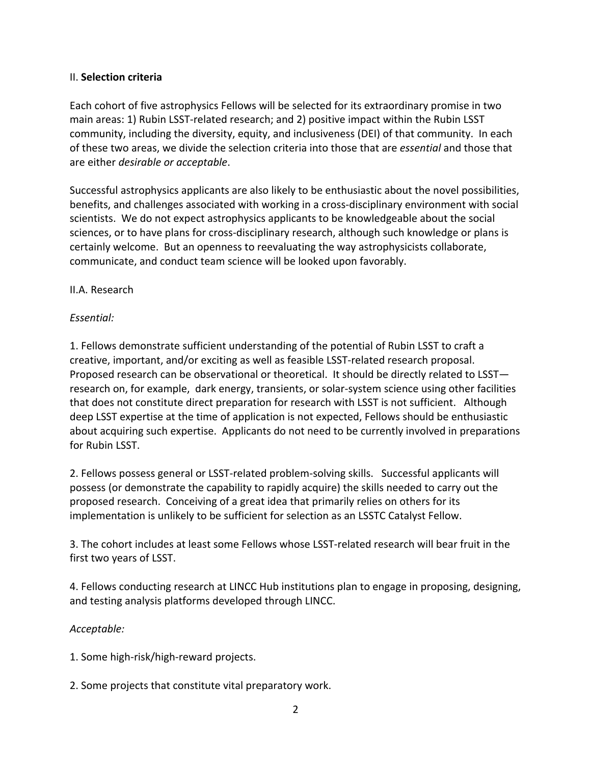## II. **Selection criteria**

Each cohort of five astrophysics Fellows will be selected for its extraordinary promise in two main areas: 1) Rubin LSST-related research; and 2) positive impact within the Rubin LSST community, including the diversity, equity, and inclusiveness (DEI) of that community. In each of these two areas, we divide the selection criteria into those that are *essential* and those that are either *desirable or acceptable*.

Successful astrophysics applicants are also likely to be enthusiastic about the novel possibilities, benefits, and challenges associated with working in a cross-disciplinary environment with social scientists. We do not expect astrophysics applicants to be knowledgeable about the social sciences, or to have plans for cross-disciplinary research, although such knowledge or plans is certainly welcome. But an openness to reevaluating the way astrophysicists collaborate, communicate, and conduct team science will be looked upon favorably.

## II.A. Research

## *Essential:*

1. Fellows demonstrate sufficient understanding of the potential of Rubin LSST to craft a creative, important, and/or exciting as well as feasible LSST-related research proposal. Proposed research can be observational or theoretical. It should be directly related to LSST research on, for example, dark energy, transients, or solar-system science using other facilities that does not constitute direct preparation for research with LSST is not sufficient. Although deep LSST expertise at the time of application is not expected, Fellows should be enthusiastic about acquiring such expertise. Applicants do not need to be currently involved in preparations for Rubin LSST.

2. Fellows possess general or LSST-related problem-solving skills. Successful applicants will possess (or demonstrate the capability to rapidly acquire) the skills needed to carry out the proposed research. Conceiving of a great idea that primarily relies on others for its implementation is unlikely to be sufficient for selection as an LSSTC Catalyst Fellow.

3. The cohort includes at least some Fellows whose LSST-related research will bear fruit in the first two years of LSST.

4. Fellows conducting research at LINCC Hub institutions plan to engage in proposing, designing, and testing analysis platforms developed through LINCC.

# *Acceptable:*

1. Some high-risk/high-reward projects.

2. Some projects that constitute vital preparatory work.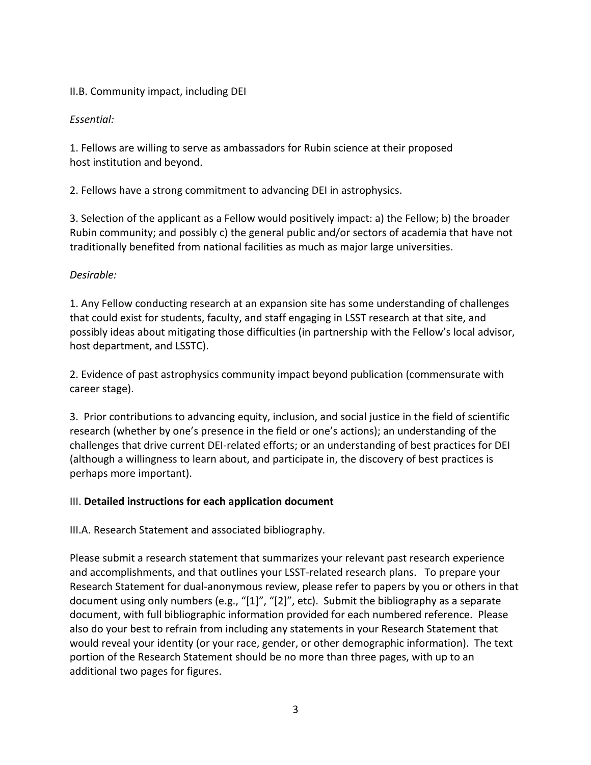# II.B. Community impact, including DEI

# *Essential:*

1. Fellows are willing to serve as ambassadors for Rubin science at their proposed host institution and beyond.

2. Fellows have a strong commitment to advancing DEI in astrophysics.

3. Selection of the applicant as a Fellow would positively impact: a) the Fellow; b) the broader Rubin community; and possibly c) the general public and/or sectors of academia that have not traditionally benefited from national facilities as much as major large universities.

## *Desirable:*

1. Any Fellow conducting research at an expansion site has some understanding of challenges that could exist for students, faculty, and staff engaging in LSST research at that site, and possibly ideas about mitigating those difficulties (in partnership with the Fellow's local advisor, host department, and LSSTC).

2. Evidence of past astrophysics community impact beyond publication (commensurate with career stage).

3. Prior contributions to advancing equity, inclusion, and social justice in the field of scientific research (whether by one's presence in the field or one's actions); an understanding of the challenges that drive current DEI-related efforts; or an understanding of best practices for DEI (although a willingness to learn about, and participate in, the discovery of best practices is perhaps more important).

# III. **Detailed instructions for each application document**

III.A. Research Statement and associated bibliography.

Please submit a research statement that summarizes your relevant past research experience and accomplishments, and that outlines your LSST-related research plans. To prepare your Research Statement for dual-anonymous review, please refer to papers by you or others in that document using only numbers (e.g., "[1]", "[2]", etc). Submit the bibliography as a separate document, with full bibliographic information provided for each numbered reference. Please also do your best to refrain from including any statements in your Research Statement that would reveal your identity (or your race, gender, or other demographic information). The text portion of the Research Statement should be no more than three pages, with up to an additional two pages for figures.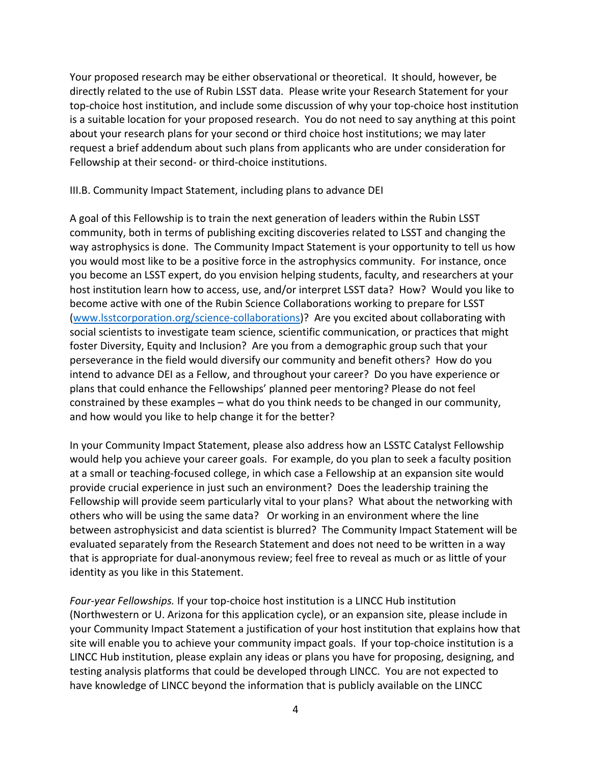Your proposed research may be either observational or theoretical. It should, however, be directly related to the use of Rubin LSST data. Please write your Research Statement for your top-choice host institution, and include some discussion of why your top-choice host institution is a suitable location for your proposed research. You do not need to say anything at this point about your research plans for your second or third choice host institutions; we may later request a brief addendum about such plans from applicants who are under consideration for Fellowship at their second- or third-choice institutions.

#### III.B. Community Impact Statement, including plans to advance DEI

A goal of this Fellowship is to train the next generation of leaders within the Rubin LSST community, both in terms of publishing exciting discoveries related to LSST and changing the way astrophysics is done. The Community Impact Statement is your opportunity to tell us how you would most like to be a positive force in the astrophysics community. For instance, once you become an LSST expert, do you envision helping students, faculty, and researchers at your host institution learn how to access, use, and/or interpret LSST data? How? Would you like to become active with one of the Rubin Science Collaborations working to prepare for LSST (www.lsstcorporation.org/science-collaborations)? Are you excited about collaborating with social scientists to investigate team science, scientific communication, or practices that might foster Diversity, Equity and Inclusion? Are you from a demographic group such that your perseverance in the field would diversify our community and benefit others? How do you intend to advance DEI as a Fellow, and throughout your career? Do you have experience or plans that could enhance the Fellowships' planned peer mentoring? Please do not feel constrained by these examples – what do you think needs to be changed in our community, and how would you like to help change it for the better?

In your Community Impact Statement, please also address how an LSSTC Catalyst Fellowship would help you achieve your career goals. For example, do you plan to seek a faculty position at a small or teaching-focused college, in which case a Fellowship at an expansion site would provide crucial experience in just such an environment? Does the leadership training the Fellowship will provide seem particularly vital to your plans? What about the networking with others who will be using the same data? Or working in an environment where the line between astrophysicist and data scientist is blurred? The Community Impact Statement will be evaluated separately from the Research Statement and does not need to be written in a way that is appropriate for dual-anonymous review; feel free to reveal as much or as little of your identity as you like in this Statement.

*Four-year Fellowships.* If your top-choice host institution is a LINCC Hub institution (Northwestern or U. Arizona for this application cycle), or an expansion site, please include in your Community Impact Statement a justification of your host institution that explains how that site will enable you to achieve your community impact goals. If your top-choice institution is a LINCC Hub institution, please explain any ideas or plans you have for proposing, designing, and testing analysis platforms that could be developed through LINCC. You are not expected to have knowledge of LINCC beyond the information that is publicly available on the LINCC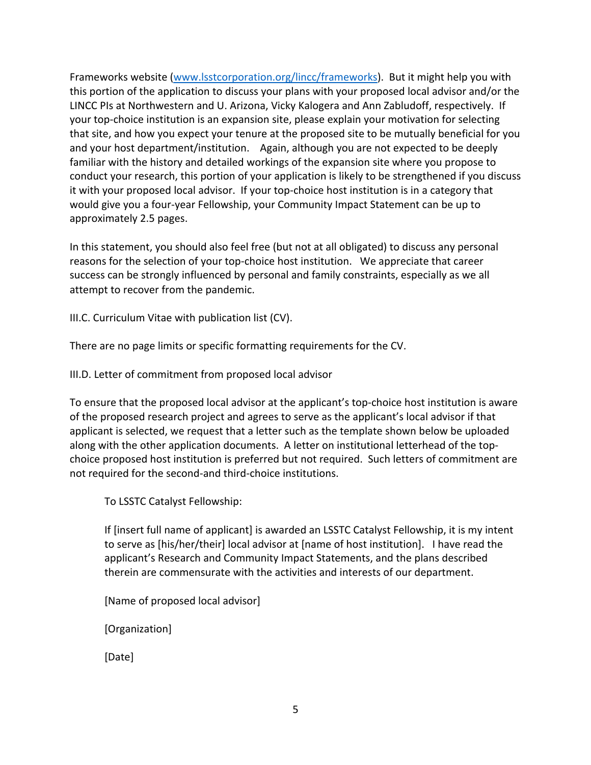Frameworks website (www.lsstcorporation.org/lincc/frameworks). But it might help you with this portion of the application to discuss your plans with your proposed local advisor and/or the LINCC PIs at Northwestern and U. Arizona, Vicky Kalogera and Ann Zabludoff, respectively. If your top-choice institution is an expansion site, please explain your motivation for selecting that site, and how you expect your tenure at the proposed site to be mutually beneficial for you and your host department/institution. Again, although you are not expected to be deeply familiar with the history and detailed workings of the expansion site where you propose to conduct your research, this portion of your application is likely to be strengthened if you discuss it with your proposed local advisor. If your top-choice host institution is in a category that would give you a four-year Fellowship, your Community Impact Statement can be up to approximately 2.5 pages.

In this statement, you should also feel free (but not at all obligated) to discuss any personal reasons for the selection of your top-choice host institution. We appreciate that career success can be strongly influenced by personal and family constraints, especially as we all attempt to recover from the pandemic.

III.C. Curriculum Vitae with publication list (CV).

There are no page limits or specific formatting requirements for the CV.

III.D. Letter of commitment from proposed local advisor

To ensure that the proposed local advisor at the applicant's top-choice host institution is aware of the proposed research project and agrees to serve as the applicant's local advisor if that applicant is selected, we request that a letter such as the template shown below be uploaded along with the other application documents. A letter on institutional letterhead of the topchoice proposed host institution is preferred but not required. Such letters of commitment are not required for the second-and third-choice institutions.

To LSSTC Catalyst Fellowship:

If [insert full name of applicant] is awarded an LSSTC Catalyst Fellowship, it is my intent to serve as [his/her/their] local advisor at [name of host institution]. I have read the applicant's Research and Community Impact Statements, and the plans described therein are commensurate with the activities and interests of our department.

[Name of proposed local advisor]

[Organization]

[Date]